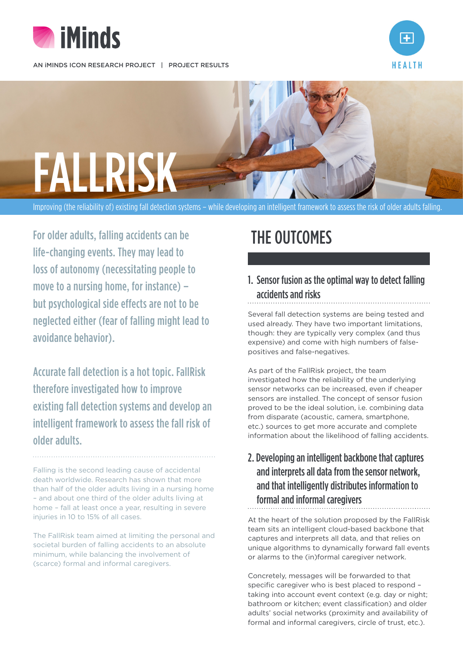

AN IMINDS ICON RESEARCH PROJECT | PROJECT RESULTS





Improving (the reliability of) existing fall detection systems – while developing an intelligent framework to assess the risk of older adults falling.

For older adults, falling accidents can be life-changing events. They may lead to loss of autonomy (necessitating people to move to a nursing home, for instance) – but psychological side effects are not to be neglected either (fear of falling might lead to avoidance behavior).

Accurate fall detection is a hot topic. FallRisk therefore investigated how to improve existing fall detection systems and develop an intelligent framework to assess the fall risk of older adults.

Falling is the second leading cause of accidental death worldwide. Research has shown that more than half of the older adults living in a nursing home – and about one third of the older adults living at home – fall at least once a year, resulting in severe injuries in 10 to 15% of all cases.

The FallRisk team aimed at limiting the personal and societal burden of falling accidents to an absolute minimum, while balancing the involvement of (scarce) formal and informal caregivers.

## THE OUTCOMES

1. Sensor fusion as the optimal way to detect falling accidents and risks

Several fall detection systems are being tested and used already. They have two important limitations, though: they are typically very complex (and thus expensive) and come with high numbers of falsepositives and false-negatives.

As part of the FallRisk project, the team investigated how the reliability of the underlying sensor networks can be increased, even if cheaper sensors are installed. The concept of sensor fusion proved to be the ideal solution, i.e. combining data from disparate (acoustic, camera, smartphone, etc.) sources to get more accurate and complete information about the likelihood of falling accidents.

## 2. Developing an intelligent backbone that captures and interprets all data from the sensor network, and that intelligently distributes information to formal and informal caregivers

At the heart of the solution proposed by the FallRisk team sits an intelligent cloud-based backbone that captures and interprets all data, and that relies on unique algorithms to dynamically forward fall events or alarms to the (in)formal caregiver network.

Concretely, messages will be forwarded to that specific caregiver who is best placed to respond – taking into account event context (e.g. day or night; bathroom or kitchen; event classification) and older adults' social networks (proximity and availability of formal and informal caregivers, circle of trust, etc.).